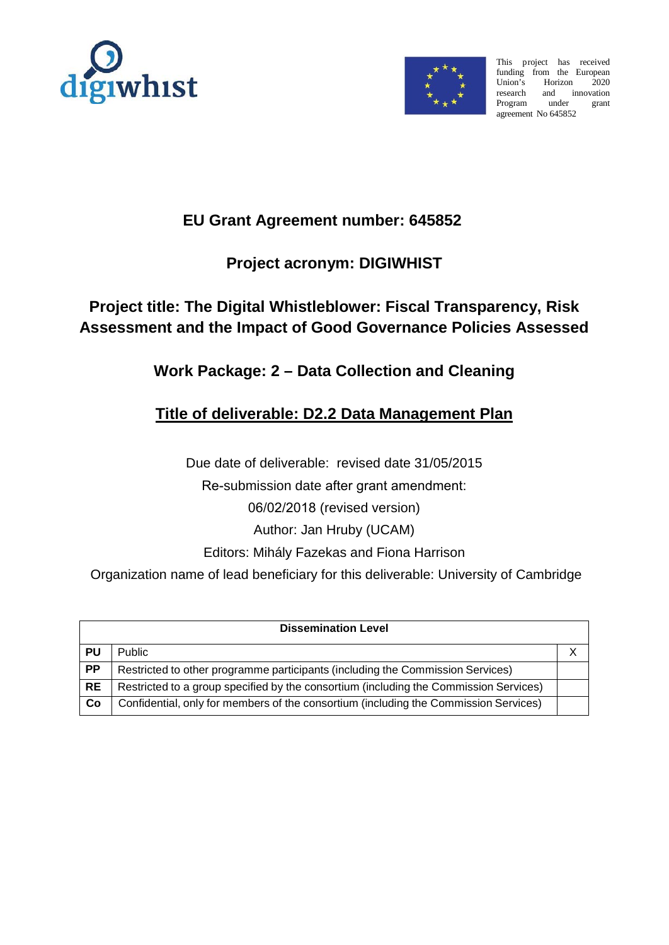



This project has received funding from the European<br>Union's Horizon 2020 Horizon 2020 research and innovation<br>Program under grant under grant agreement No 645852

# **EU Grant Agreement number: 645852**

# **Project acronym: DIGIWHIST**

# **Project title: The Digital Whistleblower: Fiscal Transparency, Risk Assessment and the Impact of Good Governance Policies Assessed**

# **Work Package: 2 – Data Collection and Cleaning**

# **Title of deliverable: D2.2 Data Management Plan**

Due date of deliverable: revised date 31/05/2015

Re-submission date after grant amendment:

06/02/2018 (revised version)

Author: Jan Hruby (UCAM)

Editors: Mihály Fazekas and Fiona Harrison

Organization name of lead beneficiary for this deliverable: University of Cambridge

| <b>Dissemination Level</b> |                                                                                       |  |  |  |  |
|----------------------------|---------------------------------------------------------------------------------------|--|--|--|--|
| PU                         | <b>Public</b>                                                                         |  |  |  |  |
| <b>PP</b>                  | Restricted to other programme participants (including the Commission Services)        |  |  |  |  |
| <b>RE</b>                  | Restricted to a group specified by the consortium (including the Commission Services) |  |  |  |  |
| Co                         | Confidential, only for members of the consortium (including the Commission Services)  |  |  |  |  |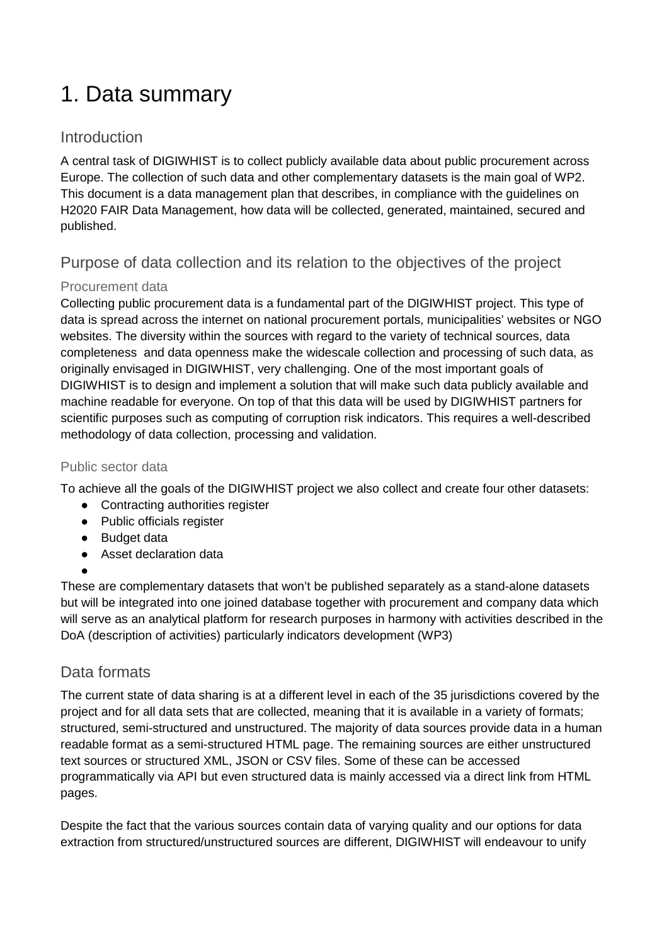# 1. Data summary

# **Introduction**

A central task of DIGIWHIST is to collect publicly available data about public procurement across Europe. The collection of such data and other complementary datasets is the main goal of WP2. This document is a data management plan that describes, in compliance with the guidelines on H2020 FAIR Data Management, how data will be collected, generated, maintained, secured and published.

# Purpose of data collection and its relation to the objectives of the project

### Procurement data

Collecting public procurement data is a fundamental part of the DIGIWHIST project. This type of data is spread across the internet on national procurement portals, municipalities' websites or NGO websites. The diversity within the sources with regard to the variety of technical sources, data completeness and data openness make the widescale collection and processing of such data, as originally envisaged in DIGIWHIST, very challenging. One of the most important goals of DIGIWHIST is to design and implement a solution that will make such data publicly available and machine readable for everyone. On top of that this data will be used by DIGIWHIST partners for scientific purposes such as computing of corruption risk indicators. This requires a well-described methodology of data collection, processing and validation.

### Public sector data

To achieve all the goals of the DIGIWHIST project we also collect and create four other datasets:

- Contracting authorities register
- Public officials register
- Budget data
- Asset declaration data
- ●

These are complementary datasets that won't be published separately as a stand-alone datasets but will be integrated into one joined database together with procurement and company data which will serve as an analytical platform for research purposes in harmony with activities described in the DoA (description of activities) particularly indicators development (WP3)

# Data formats

The current state of data sharing is at a different level in each of the 35 jurisdictions covered by the project and for all data sets that are collected, meaning that it is available in a variety of formats; structured, semi-structured and unstructured. The majority of data sources provide data in a human readable format as a semi-structured HTML page. The remaining sources are either unstructured text sources or structured XML, JSON or CSV files. Some of these can be accessed programmatically via API but even structured data is mainly accessed via a direct link from HTML pages.

Despite the fact that the various sources contain data of varying quality and our options for data extraction from structured/unstructured sources are different, DIGIWHIST will endeavour to unify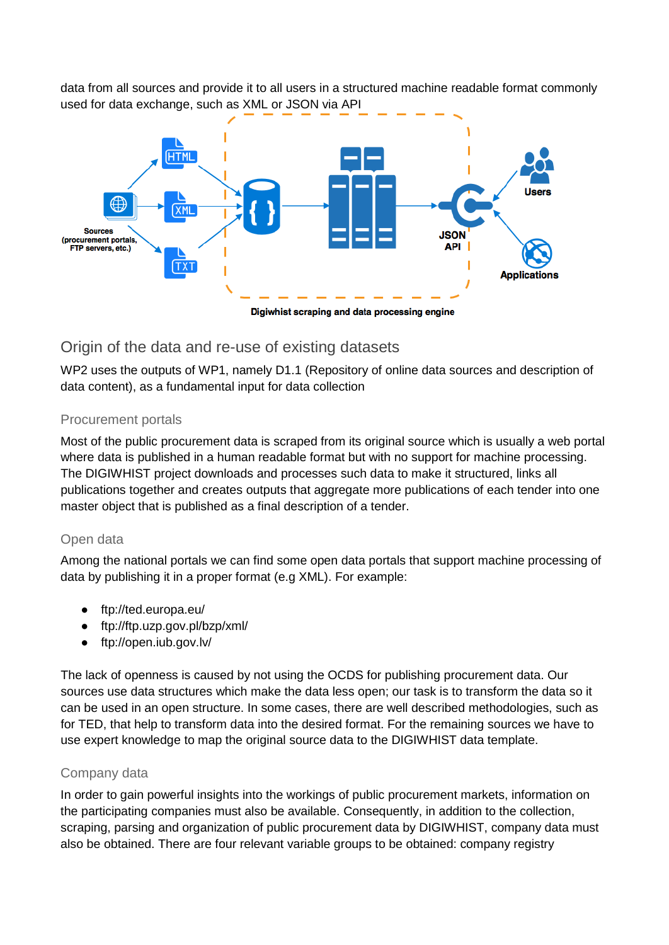data from all sources and provide it to all users in a structured machine readable format commonly used for data exchange, such as XML or JSON via API



# Origin of the data and re-use of existing datasets

WP2 uses the outputs of WP1, namely D1.1 (Repository of online data sources and description of data content), as a fundamental input for data collection

#### Procurement portals

Most of the public procurement data is scraped from its original source which is usually a web portal where data is published in a human readable format but with no support for machine processing. The DIGIWHIST project downloads and processes such data to make it structured, links all publications together and creates outputs that aggregate more publications of each tender into one master object that is published as a final description of a tender.

#### Open data

Among the national portals we can find some open data portals that support machine processing of data by publishing it in a proper format (e.g XML). For example:

- ftp://ted.europa.eu/
- ftp://ftp.uzp.gov.pl/bzp/xml/
- ftp://open.iub.gov.lv/

The lack of openness is caused by not using the OCDS for publishing procurement data. Our sources use data structures which make the data less open; our task is to transform the data so it can be used in an open structure. In some cases, there are well described methodologies, such as for TED, that help to transform data into the desired format. For the remaining sources we have to use expert knowledge to map the original source data to the DIGIWHIST data template.

#### Company data

In order to gain powerful insights into the workings of public procurement markets, information on the participating companies must also be available. Consequently, in addition to the collection, scraping, parsing and organization of public procurement data by DIGIWHIST, company data must also be obtained. There are four relevant variable groups to be obtained: company registry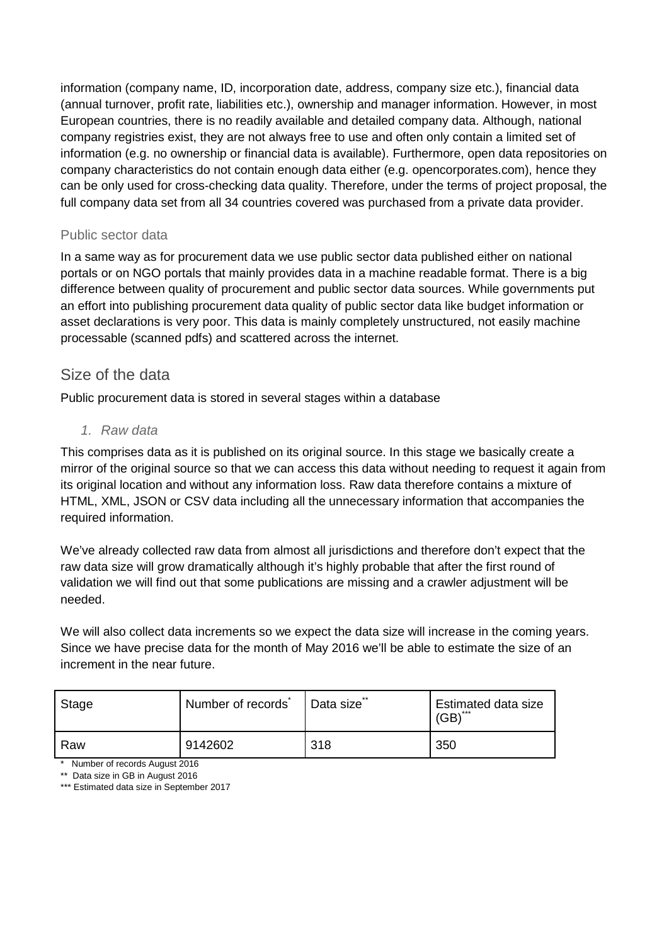information (company name, ID, incorporation date, address, company size etc.), financial data (annual turnover, profit rate, liabilities etc.), ownership and manager information. However, in most European countries, there is no readily available and detailed company data. Although, national company registries exist, they are not always free to use and often only contain a limited set of information (e.g. no ownership or financial data is available). Furthermore, open data repositories on company characteristics do not contain enough data either (e.g. opencorporates.com), hence they can be only used for cross-checking data quality. Therefore, under the terms of project proposal, the full company data set from all 34 countries covered was purchased from a private data provider.

#### Public sector data

In a same way as for procurement data we use public sector data published either on national portals or on NGO portals that mainly provides data in a machine readable format. There is a big difference between quality of procurement and public sector data sources. While governments put an effort into publishing procurement data quality of public sector data like budget information or asset declarations is very poor. This data is mainly completely unstructured, not easily machine processable (scanned pdfs) and scattered across the internet.

### Size of the data

Public procurement data is stored in several stages within a database

#### *1. Raw data*

This comprises data as it is published on its original source. In this stage we basically create a mirror of the original source so that we can access this data without needing to request it again from its original location and without any information loss. Raw data therefore contains a mixture of HTML, XML, JSON or CSV data including all the unnecessary information that accompanies the required information.

We've already collected raw data from almost all jurisdictions and therefore don't expect that the raw data size will grow dramatically although it's highly probable that after the first round of validation we will find out that some publications are missing and a crawler adjustment will be needed.

We will also collect data increments so we expect the data size will increase in the coming years. Since we have precise data for the month of May 2016 we'll be able to estimate the size of an increment in the near future.

| Stage | Number of records | Data size | Estimated data size<br>$(GB)$ <sup>***</sup> |
|-------|-------------------|-----------|----------------------------------------------|
| Raw   | 9142602           | 318       | 350                                          |

\* Number of records August 2016

\*\* Data size in GB in August 2016

\*\*\* Estimated data size in September 2017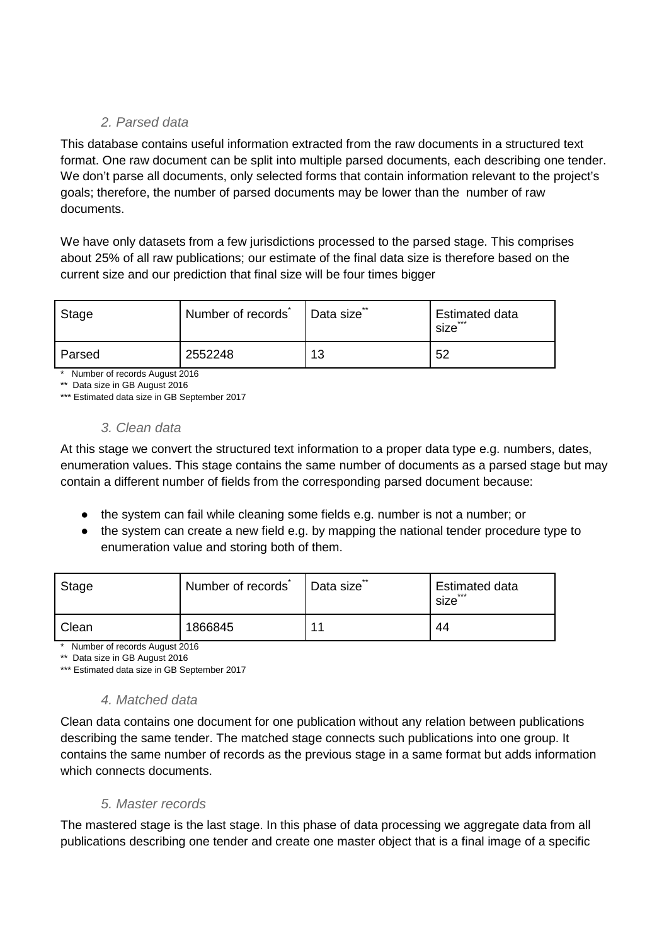#### *2. Parsed data*

This database contains useful information extracted from the raw documents in a structured text format. One raw document can be split into multiple parsed documents, each describing one tender. We don't parse all documents, only selected forms that contain information relevant to the project's goals; therefore, the number of parsed documents may be lower than the number of raw documents.

We have only datasets from a few jurisdictions processed to the parsed stage. This comprises about 25% of all raw publications; our estimate of the final data size is therefore based on the current size and our prediction that final size will be four times bigger

| Stage  | Number of records <sup>®</sup> | Data size <sup>®</sup> | <b>Estimated data</b><br>***<br>size |
|--------|--------------------------------|------------------------|--------------------------------------|
| Parsed | 2552248                        | 13                     | 52                                   |

\* Number of records August 2016

\*\* Data size in GB August 2016

\*\*\* Estimated data size in GB September 2017

#### *3. Clean data*

At this stage we convert the structured text information to a proper data type e.g. numbers, dates, enumeration values. This stage contains the same number of documents as a parsed stage but may contain a different number of fields from the corresponding parsed document because:

- the system can fail while cleaning some fields e.g. number is not a number; or
- the system can create a new field e.g. by mapping the national tender procedure type to enumeration value and storing both of them.

| Stage | Number of records | Data size <sup>®</sup> | <b>Estimated data</b><br>***<br>size |
|-------|-------------------|------------------------|--------------------------------------|
| Clean | 1866845           | $\overline{1}$         | 44                                   |

\* Number of records August 2016

\*\* Data size in GB August 2016

\*\*\* Estimated data size in GB September 2017

#### *4. Matched data*

Clean data contains one document for one publication without any relation between publications describing the same tender. The matched stage connects such publications into one group. It contains the same number of records as the previous stage in a same format but adds information which connects documents.

#### *5. Master records*

The mastered stage is the last stage. In this phase of data processing we aggregate data from all publications describing one tender and create one master object that is a final image of a specific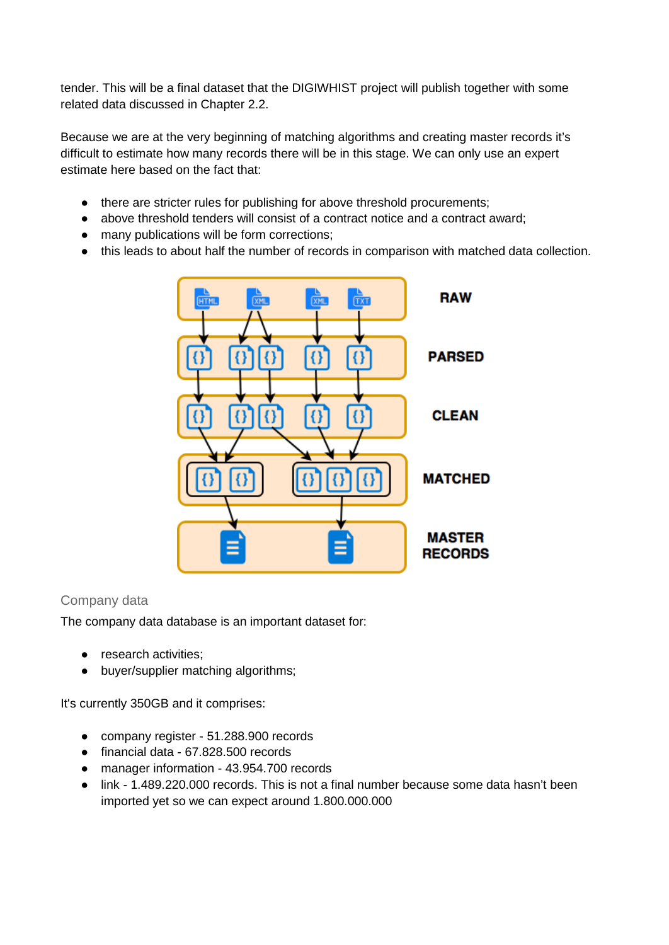tender. This will be a final dataset that the DIGIWHIST project will publish together with some related data discussed in Chapter 2.2.

Because we are at the very beginning of matching algorithms and creating master records it's difficult to estimate how many records there will be in this stage. We can only use an expert estimate here based on the fact that:

- there are stricter rules for publishing for above threshold procurements;
- above threshold tenders will consist of a contract notice and a contract award;
- many publications will be form corrections;
- this leads to about half the number of records in comparison with matched data collection.



#### Company data

The company data database is an important dataset for:

- research activities;
- buyer/supplier matching algorithms;

It's currently 350GB and it comprises:

- company register 51.288.900 records
- financial data 67.828.500 records
- manager information 43.954.700 records
- link 1.489.220.000 records. This is not a final number because some data hasn't been imported yet so we can expect around 1.800.000.000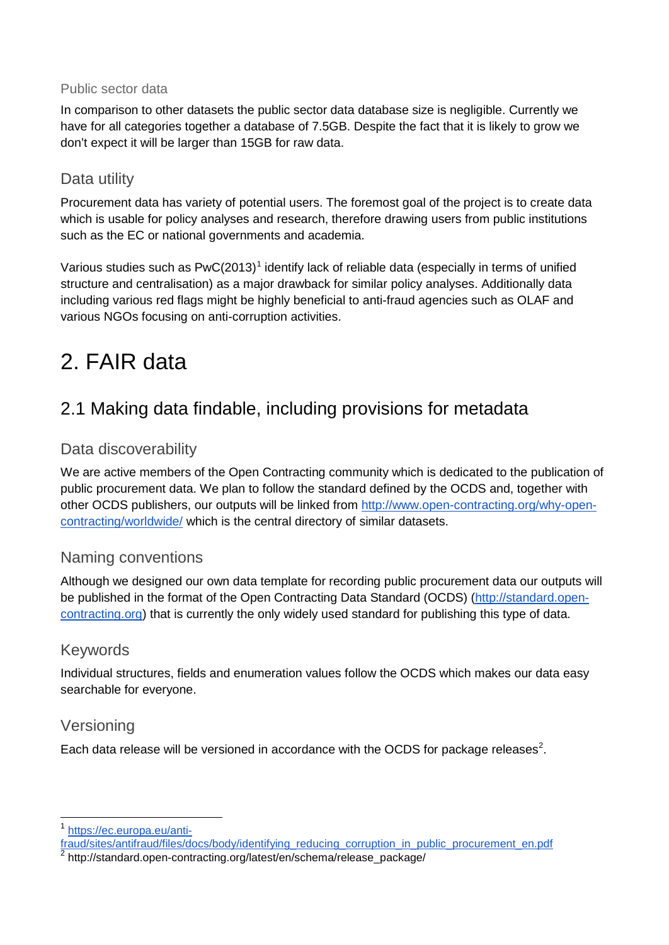#### Public sector data

In comparison to other datasets the public sector data database size is negligible. Currently we have for all categories together a database of 7.5GB. Despite the fact that it is likely to grow we don't expect it will be larger than 15GB for raw data.

# Data utility

Procurement data has variety of potential users. The foremost goal of the project is to create data which is usable for policy analyses and research, therefore drawing users from public institutions such as the EC or national governments and academia.

Various studies such as  $PwC(2013)^1$  $PwC(2013)^1$  $PwC(2013)^1$  identify lack of reliable data (especially in terms of unified structure and centralisation) as a major drawback for similar policy analyses. Additionally data including various red flags might be highly beneficial to anti-fraud agencies such as OLAF and various NGOs focusing on anti-corruption activities.

# 2. FAIR data

# 2.1 Making data findable, including provisions for metadata

# Data discoverability

We are active members of the Open Contracting community which is dedicated to the publication of public procurement data. We plan to follow the standard defined by the OCDS and, together with other OCDS publishers, our outputs will be linked from [http://www.open-contracting.org/why-open](http://www.open-contracting.org/why-open-contracting/worldwide/)[contracting/worldwide/](http://www.open-contracting.org/why-open-contracting/worldwide/) which is the central directory of similar datasets.

# Naming conventions

Although we designed our own data template for recording public procurement data our outputs will be published in the format of the Open Contracting Data Standard (OCDS) [\(http://standard.open](http://standard.open-contracting.org/)[contracting.org\)](http://standard.open-contracting.org/) that is currently the only widely used standard for publishing this type of data.

# Keywords

Individual structures, fields and enumeration values follow the OCDS which makes our data easy searchable for everyone.

# Versioning

Each data release will be versioned in accordance with the OCDS for package releases<sup>[2](#page-6-1)</sup>.

<span id="page-6-0"></span>[https://ec.europa.eu/anti-](https://ec.europa.eu/anti-fraud/sites/antifraud/files/docs/body/identifying_reducing_corruption_in_public_procurement_en.pdf)

[fraud/sites/antifraud/files/docs/body/identifying\\_reducing\\_corruption\\_in\\_public\\_procurement\\_en.pdf](https://ec.europa.eu/anti-fraud/sites/antifraud/files/docs/body/identifying_reducing_corruption_in_public_procurement_en.pdf)

<span id="page-6-1"></span><sup>&</sup>lt;sup>2</sup> http://standard.open-contracting.org/latest/en/schema/release\_package/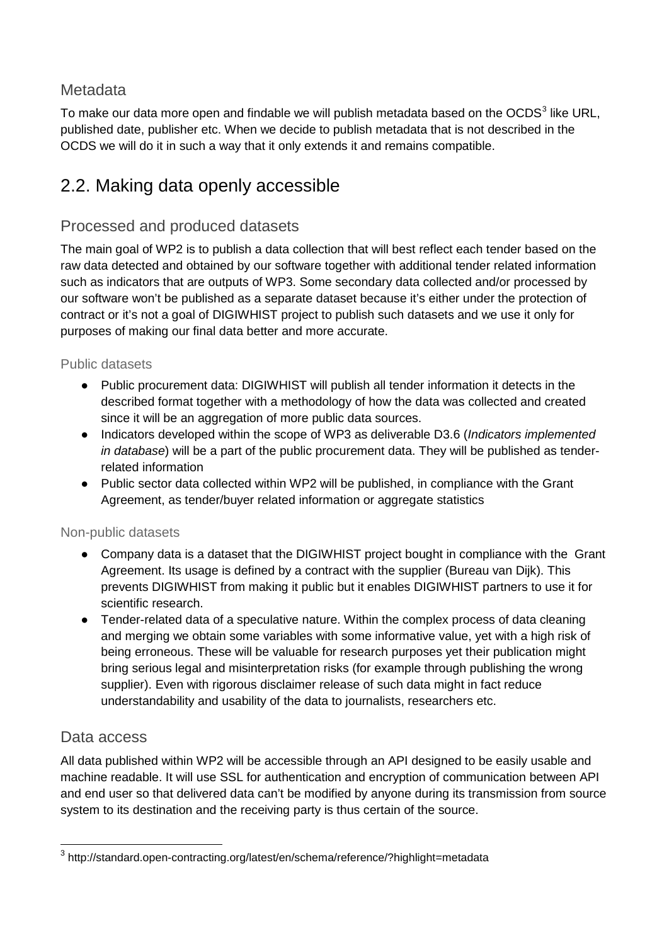# **Metadata**

To make our data more open and findable we will publish metadata based on the OCDS $3$  like URL, published date, publisher etc. When we decide to publish metadata that is not described in the OCDS we will do it in such a way that it only extends it and remains compatible.

# 2.2. Making data openly accessible

# Processed and produced datasets

The main goal of WP2 is to publish a data collection that will best reflect each tender based on the raw data detected and obtained by our software together with additional tender related information such as indicators that are outputs of WP3. Some secondary data collected and/or processed by our software won't be published as a separate dataset because it's either under the protection of contract or it's not a goal of DIGIWHIST project to publish such datasets and we use it only for purposes of making our final data better and more accurate.

#### Public datasets

- Public procurement data: DIGIWHIST will publish all tender information it detects in the described format together with a methodology of how the data was collected and created since it will be an aggregation of more public data sources.
- Indicators developed within the scope of WP3 as deliverable D3.6 (*Indicators implemented in database*) will be a part of the public procurement data. They will be published as tenderrelated information
- Public sector data collected within WP2 will be published, in compliance with the Grant Agreement, as tender/buyer related information or aggregate statistics

#### Non-public datasets

- Company data is a dataset that the DIGIWHIST project bought in compliance with the Grant Agreement. Its usage is defined by a contract with the supplier (Bureau van Dijk). This prevents DIGIWHIST from making it public but it enables DIGIWHIST partners to use it for scientific research.
- Tender-related data of a speculative nature. Within the complex process of data cleaning and merging we obtain some variables with some informative value, yet with a high risk of being erroneous. These will be valuable for research purposes yet their publication might bring serious legal and misinterpretation risks (for example through publishing the wrong supplier). Even with rigorous disclaimer release of such data might in fact reduce understandability and usability of the data to journalists, researchers etc.

# Data access

All data published within WP2 will be accessible through an API designed to be easily usable and machine readable. It will use SSL for authentication and encryption of communication between API and end user so that delivered data can't be modified by anyone during its transmission from source system to its destination and the receiving party is thus certain of the source.

<span id="page-7-0"></span> <sup>3</sup> http://standard.open-contracting.org/latest/en/schema/reference/?highlight=metadata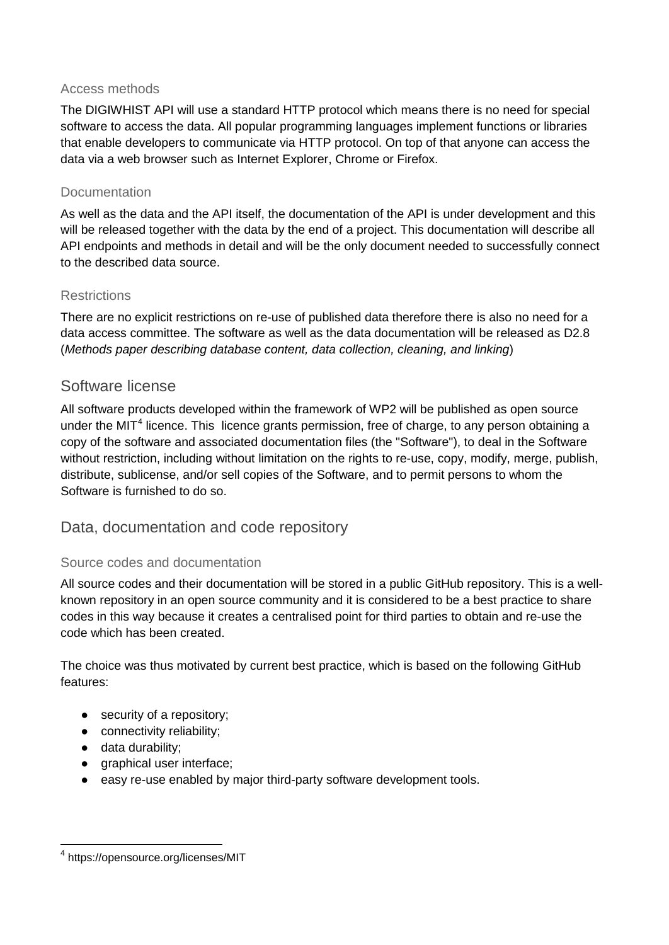#### Access methods

The DIGIWHIST API will use a standard HTTP protocol which means there is no need for special software to access the data. All popular programming languages implement functions or libraries that enable developers to communicate via HTTP protocol. On top of that anyone can access the data via a web browser such as Internet Explorer, Chrome or Firefox.

#### **Documentation**

As well as the data and the API itself, the documentation of the API is under development and this will be released together with the data by the end of a project. This documentation will describe all API endpoints and methods in detail and will be the only document needed to successfully connect to the described data source.

#### **Restrictions**

There are no explicit restrictions on re-use of published data therefore there is also no need for a data access committee. The software as well as the data documentation will be released as D2.8 (*Methods paper describing database content, data collection, cleaning, and linking*)

### Software license

All software products developed within the framework of WP2 will be published as open source under the MIT<sup>[4](#page-8-0)</sup> licence. This licence grants permission, free of charge, to any person obtaining a copy of the software and associated documentation files (the "Software"), to deal in the Software without restriction, including without limitation on the rights to re-use, copy, modify, merge, publish, distribute, sublicense, and/or sell copies of the Software, and to permit persons to whom the Software is furnished to do so.

# Data, documentation and code repository

#### Source codes and documentation

All source codes and their documentation will be stored in a public GitHub repository. This is a wellknown repository in an open source community and it is considered to be a best practice to share codes in this way because it creates a centralised point for third parties to obtain and re-use the code which has been created.

The choice was thus motivated by current best practice, which is based on the following GitHub features:

- security of a repository;
- connectivity reliability;
- data durability;
- graphical user interface;
- easy re-use enabled by major third-party software development tools.

<span id="page-8-0"></span> <sup>4</sup> https://opensource.org/licenses/MIT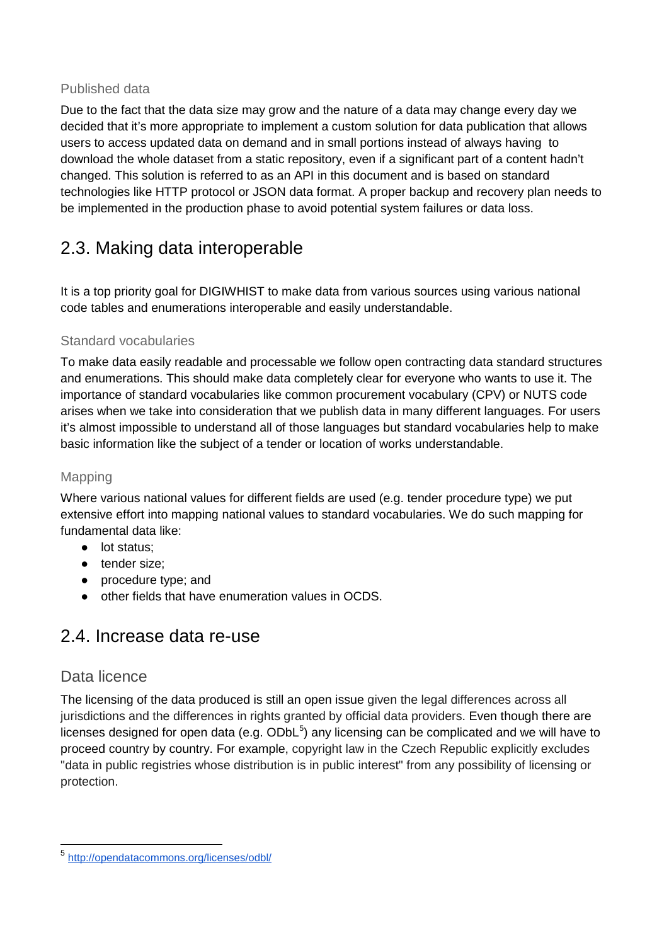#### Published data

Due to the fact that the data size may grow and the nature of a data may change every day we decided that it's more appropriate to implement a custom solution for data publication that allows users to access updated data on demand and in small portions instead of always having to download the whole dataset from a static repository, even if a significant part of a content hadn't changed. This solution is referred to as an API in this document and is based on standard technologies like HTTP protocol or JSON data format. A proper backup and recovery plan needs to be implemented in the production phase to avoid potential system failures or data loss.

# 2.3. Making data interoperable

It is a top priority goal for DIGIWHIST to make data from various sources using various national code tables and enumerations interoperable and easily understandable.

#### Standard vocabularies

To make data easily readable and processable we follow open contracting data standard structures and enumerations. This should make data completely clear for everyone who wants to use it. The importance of standard vocabularies like common procurement vocabulary (CPV) or NUTS code arises when we take into consideration that we publish data in many different languages. For users it's almost impossible to understand all of those languages but standard vocabularies help to make basic information like the subject of a tender or location of works understandable.

#### Mapping

Where various national values for different fields are used (e.g. tender procedure type) we put extensive effort into mapping national values to standard vocabularies. We do such mapping for fundamental data like:

- lot status;
- tender size;
- procedure type; and
- other fields that have enumeration values in OCDS.

# 2.4. Increase data re-use

# Data licence

The licensing of the data produced is still an open issue given the legal differences across all jurisdictions and the differences in rights granted by official data providers. Even though there are licenses designed for open data (e.g.  $ODbL<sup>5</sup>$  $ODbL<sup>5</sup>$  $ODbL<sup>5</sup>$ ) any licensing can be complicated and we will have to proceed country by country. For example, copyright law in the Czech Republic explicitly excludes "data in public registries whose distribution is in public interest" from any possibility of licensing or protection.

<span id="page-9-0"></span> <sup>5</sup> <http://opendatacommons.org/licenses/odbl/>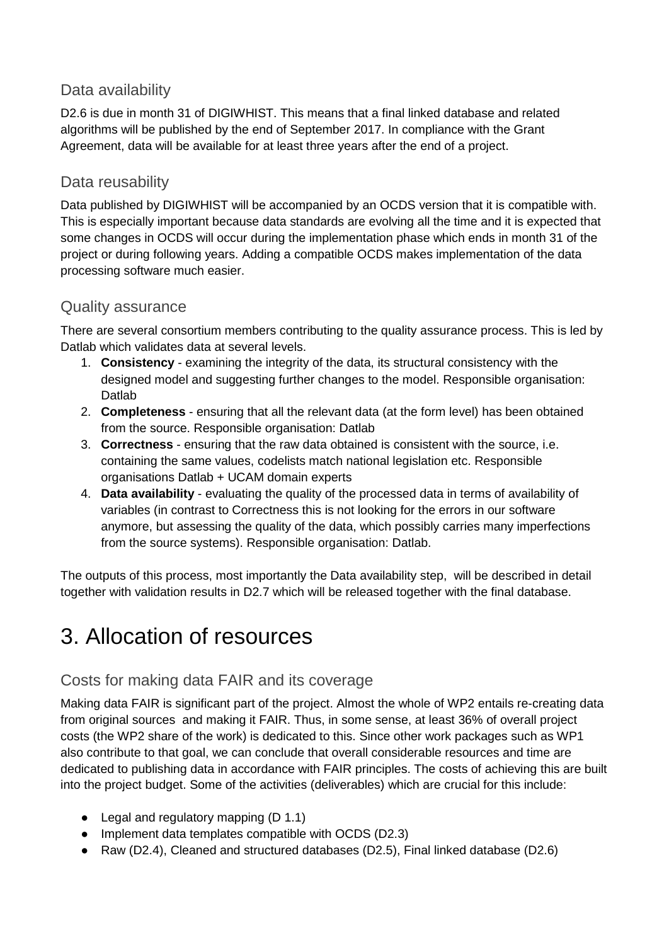# Data availability

D2.6 is due in month 31 of DIGIWHIST. This means that a final linked database and related algorithms will be published by the end of September 2017. In compliance with the Grant Agreement, data will be available for at least three years after the end of a project.

# Data reusability

Data published by DIGIWHIST will be accompanied by an OCDS version that it is compatible with. This is especially important because data standards are evolving all the time and it is expected that some changes in OCDS will occur during the implementation phase which ends in month 31 of the project or during following years. Adding a compatible OCDS makes implementation of the data processing software much easier.

# Quality assurance

There are several consortium members contributing to the quality assurance process. This is led by Datlab which validates data at several levels.

- 1. **Consistency** examining the integrity of the data, its structural consistency with the designed model and suggesting further changes to the model. Responsible organisation: Datlab
- 2. **Completeness** ensuring that all the relevant data (at the form level) has been obtained from the source. Responsible organisation: Datlab
- 3. **Correctness** ensuring that the raw data obtained is consistent with the source, i.e. containing the same values, codelists match national legislation etc. Responsible organisations Datlab + UCAM domain experts
- 4. **Data availability** evaluating the quality of the processed data in terms of availability of variables (in contrast to Correctness this is not looking for the errors in our software anymore, but assessing the quality of the data, which possibly carries many imperfections from the source systems). Responsible organisation: Datlab.

The outputs of this process, most importantly the Data availability step, will be described in detail together with validation results in D2.7 which will be released together with the final database.

# 3. Allocation of resources

# Costs for making data FAIR and its coverage

Making data FAIR is significant part of the project. Almost the whole of WP2 entails re-creating data from original sources and making it FAIR. Thus, in some sense, at least 36% of overall project costs (the WP2 share of the work) is dedicated to this. Since other work packages such as WP1 also contribute to that goal, we can conclude that overall considerable resources and time are dedicated to publishing data in accordance with FAIR principles. The costs of achieving this are built into the project budget. Some of the activities (deliverables) which are crucial for this include:

- Legal and regulatory mapping (D 1.1)
- Implement data templates compatible with OCDS (D2.3)
- Raw (D2.4), Cleaned and structured databases (D2.5), Final linked database (D2.6)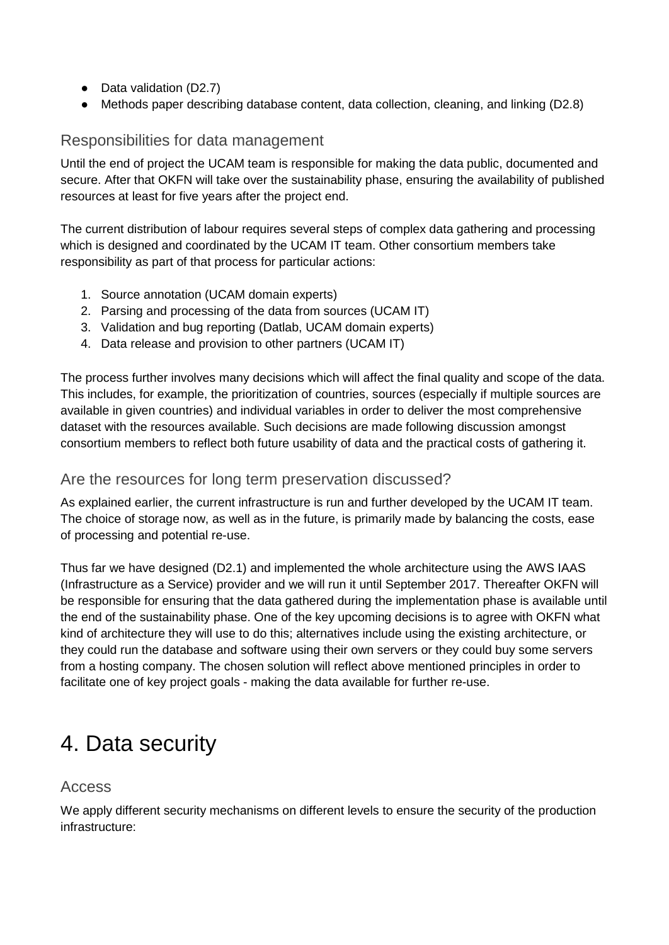- Data validation (D2.7)
- Methods paper describing database content, data collection, cleaning, and linking (D2.8)

# Responsibilities for data management

Until the end of project the UCAM team is responsible for making the data public, documented and secure. After that OKFN will take over the sustainability phase, ensuring the availability of published resources at least for five years after the project end.

The current distribution of labour requires several steps of complex data gathering and processing which is designed and coordinated by the UCAM IT team. Other consortium members take responsibility as part of that process for particular actions:

- 1. Source annotation (UCAM domain experts)
- 2. Parsing and processing of the data from sources (UCAM IT)
- 3. Validation and bug reporting (Datlab, UCAM domain experts)
- 4. Data release and provision to other partners (UCAM IT)

The process further involves many decisions which will affect the final quality and scope of the data. This includes, for example, the prioritization of countries, sources (especially if multiple sources are available in given countries) and individual variables in order to deliver the most comprehensive dataset with the resources available. Such decisions are made following discussion amongst consortium members to reflect both future usability of data and the practical costs of gathering it.

### Are the resources for long term preservation discussed?

As explained earlier, the current infrastructure is run and further developed by the UCAM IT team. The choice of storage now, as well as in the future, is primarily made by balancing the costs, ease of processing and potential re-use.

Thus far we have designed (D2.1) and implemented the whole architecture using the AWS IAAS (Infrastructure as a Service) provider and we will run it until September 2017. Thereafter OKFN will be responsible for ensuring that the data gathered during the implementation phase is available until the end of the sustainability phase. One of the key upcoming decisions is to agree with OKFN what kind of architecture they will use to do this; alternatives include using the existing architecture, or they could run the database and software using their own servers or they could buy some servers from a hosting company. The chosen solution will reflect above mentioned principles in order to facilitate one of key project goals - making the data available for further re-use.

# 4. Data security

#### Access

We apply different security mechanisms on different levels to ensure the security of the production infrastructure: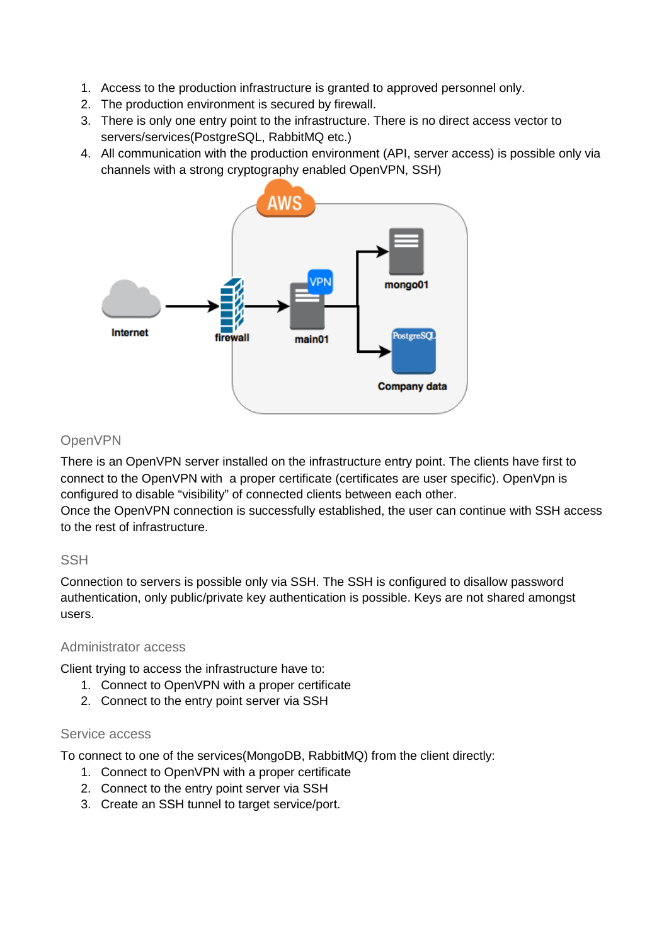- 1. Access to the production infrastructure is granted to approved personnel only.
- 2. The production environment is secured by firewall.
- 3. There is only one entry point to the infrastructure. There is no direct access vector to servers/services(PostgreSQL, RabbitMQ etc.)
- 4. All communication with the production environment (API, server access) is possible only via channels with a strong cryptography enabled OpenVPN, SSH)



### OpenVPN

There is an OpenVPN server installed on the infrastructure entry point. The clients have first to connect to the OpenVPN with a proper certificate (certificates are user specific). OpenVpn is configured to disable "visibility" of connected clients between each other.

Once the OpenVPN connection is successfully established, the user can continue with SSH access to the rest of infrastructure.

#### **SSH**

Connection to servers is possible only via SSH. The SSH is configured to disallow password authentication, only public/private key authentication is possible. Keys are not shared amongst users.

#### Administrator access

Client trying to access the infrastructure have to:

- 1. Connect to OpenVPN with a proper certificate
- 2. Connect to the entry point server via SSH

#### Service access

To connect to one of the services(MongoDB, RabbitMQ) from the client directly:

- 1. Connect to OpenVPN with a proper certificate
- 2. Connect to the entry point server via SSH
- 3. Create an SSH tunnel to target service/port.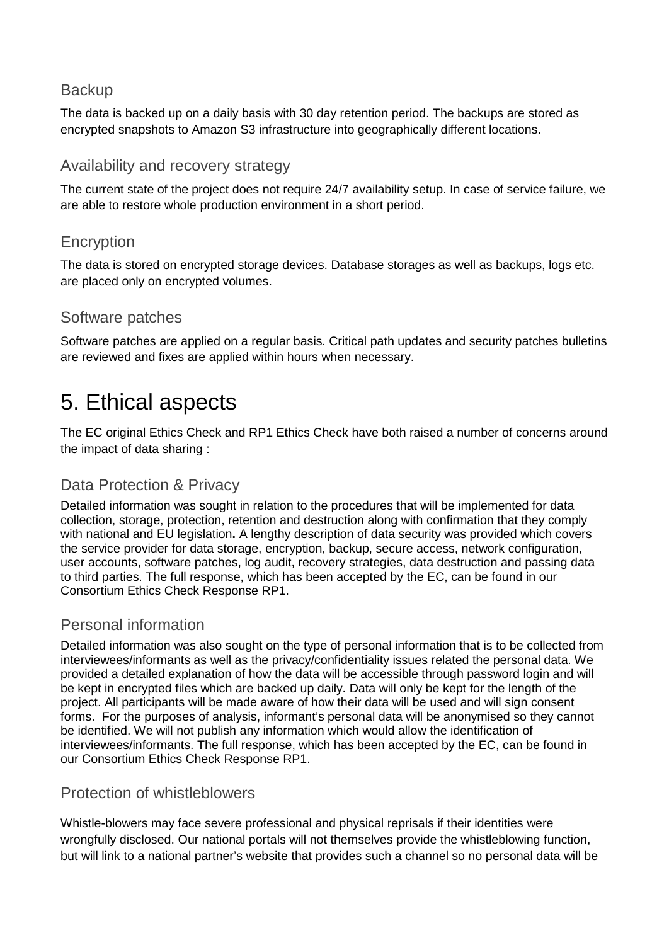# **Backup**

The data is backed up on a daily basis with 30 day retention period. The backups are stored as encrypted snapshots to Amazon S3 infrastructure into geographically different locations.

### Availability and recovery strategy

The current state of the project does not require 24/7 availability setup. In case of service failure, we are able to restore whole production environment in a short period.

# **Encryption**

The data is stored on encrypted storage devices. Database storages as well as backups, logs etc. are placed only on encrypted volumes.

#### Software patches

Software patches are applied on a regular basis. Critical path updates and security patches bulletins are reviewed and fixes are applied within hours when necessary.

# 5. Ethical aspects

The EC original Ethics Check and RP1 Ethics Check have both raised a number of concerns around the impact of data sharing :

# Data Protection & Privacy

Detailed information was sought in relation to the procedures that will be implemented for data collection, storage, protection, retention and destruction along with confirmation that they comply with national and EU legislation**.** A lengthy description of data security was provided which covers the service provider for data storage, encryption, backup, secure access, network configuration, user accounts, software patches, log audit, recovery strategies, data destruction and passing data to third parties. The full response, which has been accepted by the EC, can be found in our Consortium Ethics Check Response RP1.

# Personal information

Detailed information was also sought on the type of personal information that is to be collected from interviewees/informants as well as the privacy/confidentiality issues related the personal data. We provided a detailed explanation of how the data will be accessible through password login and will be kept in encrypted files which are backed up daily. Data will only be kept for the length of the project. All participants will be made aware of how their data will be used and will sign consent forms. For the purposes of analysis, informant's personal data will be anonymised so they cannot be identified. We will not publish any information which would allow the identification of interviewees/informants. The full response, which has been accepted by the EC, can be found in our Consortium Ethics Check Response RP1.

#### Protection of whistleblowers

Whistle-blowers may face severe professional and physical reprisals if their identities were wrongfully disclosed. Our national portals will not themselves provide the whistleblowing function, but will link to a national partner's website that provides such a channel so no personal data will be